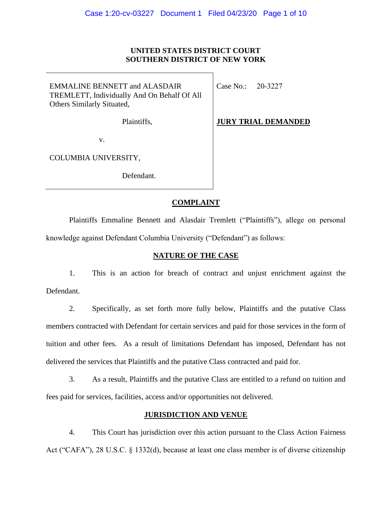## **UNITED STATES DISTRICT COURT SOUTHERN DISTRICT OF NEW YORK**

| <b>EMMALINE BENNETT and ALASDAIR</b>        |
|---------------------------------------------|
| TREMLETT, Individually And On Behalf Of All |
| Others Similarly Situated,                  |

Plaintiffs,

Case No.: 20-3227

**JURY TRIAL DEMANDED**

v.

COLUMBIA UNIVERSITY,

Defendant.

# **COMPLAINT**

Plaintiffs Emmaline Bennett and Alasdair Tremlett ("Plaintiffs"), allege on personal knowledge against Defendant Columbia University ("Defendant") as follows:

# **NATURE OF THE CASE**

1. This is an action for breach of contract and unjust enrichment against the Defendant.

2. Specifically, as set forth more fully below, Plaintiffs and the putative Class members contracted with Defendant for certain services and paid for those services in the form of tuition and other fees. As a result of limitations Defendant has imposed, Defendant has not delivered the services that Plaintiffs and the putative Class contracted and paid for.

3. As a result, Plaintiffs and the putative Class are entitled to a refund on tuition and fees paid for services, facilities, access and/or opportunities not delivered.

# **JURISDICTION AND VENUE**

4. This Court has jurisdiction over this action pursuant to the Class Action Fairness Act ("CAFA"), 28 U.S.C. § 1332(d), because at least one class member is of diverse citizenship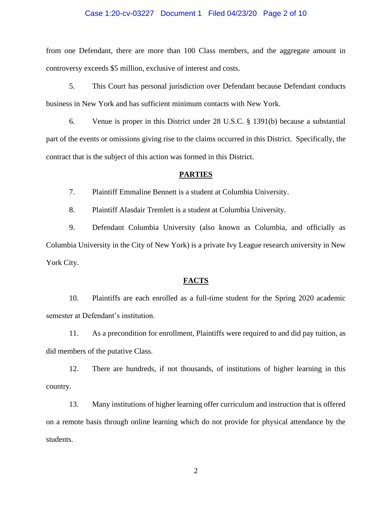#### Case 1:20-cv-03227 Document 1 Filed 04/23/20 Page 2 of 10

from one Defendant, there are more than 100 Class members, and the aggregate amount in controversy exceeds \$5 million, exclusive of interest and costs.

5. This Court has personal jurisdiction over Defendant because Defendant conducts business in New York and has sufficient minimum contacts with New York.

6. Venue is proper in this District under 28 U.S.C. § 1391(b) because a substantial part of the events or omissions giving rise to the claims occurred in this District. Specifically, the contract that is the subject of this action was formed in this District.

#### **PARTIES**

7. Plaintiff Emmaline Bennett is a student at Columbia University.

8. Plaintiff Alasdair Tremlett is a student at Columbia University.

9. Defendant Columbia University (also known as Columbia, and officially as Columbia University in the City of New York) is a private Ivy League research university in New York City.

### **FACTS**

10. Plaintiffs are each enrolled as a full-time student for the Spring 2020 academic semester at Defendant's institution.

11. As a precondition for enrollment, Plaintiffs were required to and did pay tuition, as did members of the putative Class.

12. There are hundreds, if not thousands, of institutions of higher learning in this country.

13. Many institutions of higher learning offer curriculum and instruction that is offered on a remote basis through online learning which do not provide for physical attendance by the students.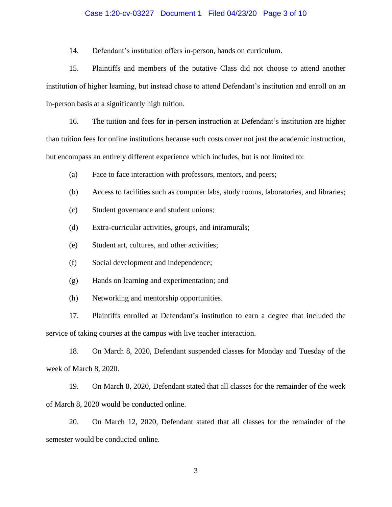#### Case 1:20-cv-03227 Document 1 Filed 04/23/20 Page 3 of 10

14. Defendant's institution offers in-person, hands on curriculum.

15. Plaintiffs and members of the putative Class did not choose to attend another institution of higher learning, but instead chose to attend Defendant's institution and enroll on an in-person basis at a significantly high tuition.

16. The tuition and fees for in-person instruction at Defendant's institution are higher than tuition fees for online institutions because such costs cover not just the academic instruction, but encompass an entirely different experience which includes, but is not limited to:

- (a) Face to face interaction with professors, mentors, and peers;
- (b) Access to facilities such as computer labs, study rooms, laboratories, and libraries;
- (c) Student governance and student unions;
- (d) Extra-curricular activities, groups, and intramurals;
- (e) Student art, cultures, and other activities;
- (f) Social development and independence;
- (g) Hands on learning and experimentation; and
- (h) Networking and mentorship opportunities.

17. Plaintiffs enrolled at Defendant's institution to earn a degree that included the service of taking courses at the campus with live teacher interaction.

18. On March 8, 2020, Defendant suspended classes for Monday and Tuesday of the week of March 8, 2020.

19. On March 8, 2020, Defendant stated that all classes for the remainder of the week of March 8, 2020 would be conducted online.

20. On March 12, 2020, Defendant stated that all classes for the remainder of the semester would be conducted online.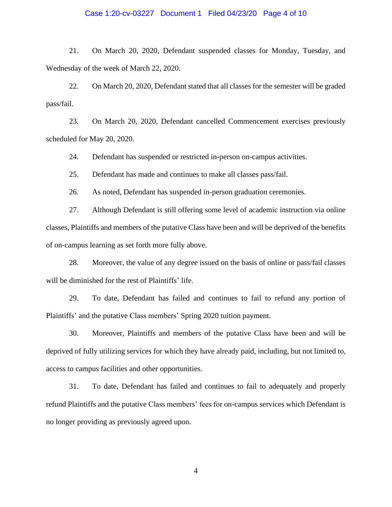#### Case 1:20-cv-03227 Document 1 Filed 04/23/20 Page 4 of 10

21. On March 20, 2020, Defendant suspended classes for Monday, Tuesday, and Wednesday of the week of March 22, 2020.

22. On March 20, 2020, Defendant stated that all classes for the semester will be graded pass/fail.

23. On March 20, 2020, Defendant cancelled Commencement exercises previously scheduled for May 20, 2020.

24. Defendant has suspended or restricted in-person on-campus activities.

25. Defendant has made and continues to make all classes pass/fail.

26. As noted, Defendant has suspended in-person graduation ceremonies.

27. Although Defendant is still offering some level of academic instruction via online classes, Plaintiffs and members of the putative Class have been and will be deprived of the benefits of on-campus learning as set forth more fully above.

28. Moreover, the value of any degree issued on the basis of online or pass/fail classes will be diminished for the rest of Plaintiffs' life.

29. To date, Defendant has failed and continues to fail to refund any portion of Plaintiffs' and the putative Class members' Spring 2020 tuition payment.

30. Moreover, Plaintiffs and members of the putative Class have been and will be deprived of fully utilizing services for which they have already paid, including, but not limited to, access to campus facilities and other opportunities.

31. To date, Defendant has failed and continues to fail to adequately and properly refund Plaintiffs and the putative Class members' fees for on-campus services which Defendant is no longer providing as previously agreed upon.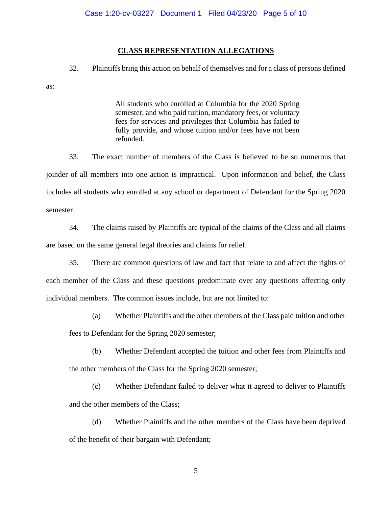### **CLASS REPRESENTATION ALLEGATIONS**

32. Plaintiffs bring this action on behalf of themselves and for a class of persons defined

as:

All students who enrolled at Columbia for the 2020 Spring semester, and who paid tuition, mandatory fees, or voluntary fees for services and privileges that Columbia has failed to fully provide, and whose tuition and/or fees have not been refunded.

33. The exact number of members of the Class is believed to be so numerous that joinder of all members into one action is impractical. Upon information and belief, the Class includes all students who enrolled at any school or department of Defendant for the Spring 2020 semester.

34. The claims raised by Plaintiffs are typical of the claims of the Class and all claims are based on the same general legal theories and claims for relief.

35. There are common questions of law and fact that relate to and affect the rights of each member of the Class and these questions predominate over any questions affecting only individual members. The common issues include, but are not limited to:

(a) Whether Plaintiffs and the other members of the Class paid tuition and other

fees to Defendant for the Spring 2020 semester;

- (b) Whether Defendant accepted the tuition and other fees from Plaintiffs and the other members of the Class for the Spring 2020 semester;
- (c) Whether Defendant failed to deliver what it agreed to deliver to Plaintiffs and the other members of the Class;
- (d) Whether Plaintiffs and the other members of the Class have been deprived of the benefit of their bargain with Defendant;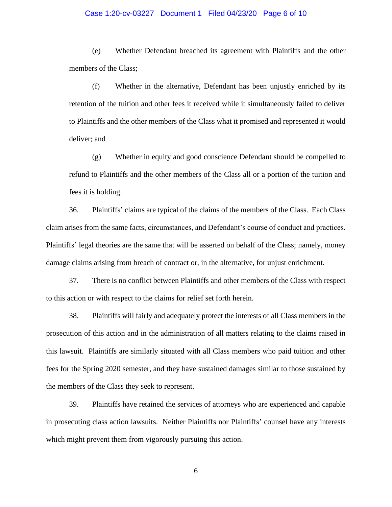#### Case 1:20-cv-03227 Document 1 Filed 04/23/20 Page 6 of 10

(e) Whether Defendant breached its agreement with Plaintiffs and the other members of the Class;

(f) Whether in the alternative, Defendant has been unjustly enriched by its retention of the tuition and other fees it received while it simultaneously failed to deliver to Plaintiffs and the other members of the Class what it promised and represented it would deliver; and

(g) Whether in equity and good conscience Defendant should be compelled to refund to Plaintiffs and the other members of the Class all or a portion of the tuition and fees it is holding.

36. Plaintiffs' claims are typical of the claims of the members of the Class. Each Class claim arises from the same facts, circumstances, and Defendant's course of conduct and practices. Plaintiffs' legal theories are the same that will be asserted on behalf of the Class; namely, money damage claims arising from breach of contract or, in the alternative, for unjust enrichment.

37. There is no conflict between Plaintiffs and other members of the Class with respect to this action or with respect to the claims for relief set forth herein.

38. Plaintiffs will fairly and adequately protect the interests of all Class members in the prosecution of this action and in the administration of all matters relating to the claims raised in this lawsuit. Plaintiffs are similarly situated with all Class members who paid tuition and other fees for the Spring 2020 semester, and they have sustained damages similar to those sustained by the members of the Class they seek to represent.

39. Plaintiffs have retained the services of attorneys who are experienced and capable in prosecuting class action lawsuits. Neither Plaintiffs nor Plaintiffs' counsel have any interests which might prevent them from vigorously pursuing this action.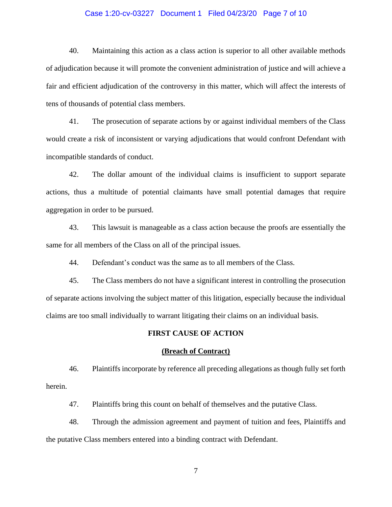#### Case 1:20-cv-03227 Document 1 Filed 04/23/20 Page 7 of 10

40. Maintaining this action as a class action is superior to all other available methods of adjudication because it will promote the convenient administration of justice and will achieve a fair and efficient adjudication of the controversy in this matter, which will affect the interests of tens of thousands of potential class members.

41. The prosecution of separate actions by or against individual members of the Class would create a risk of inconsistent or varying adjudications that would confront Defendant with incompatible standards of conduct.

42. The dollar amount of the individual claims is insufficient to support separate actions, thus a multitude of potential claimants have small potential damages that require aggregation in order to be pursued.

43. This lawsuit is manageable as a class action because the proofs are essentially the same for all members of the Class on all of the principal issues.

44. Defendant's conduct was the same as to all members of the Class.

45. The Class members do not have a significant interest in controlling the prosecution of separate actions involving the subject matter of this litigation, especially because the individual claims are too small individually to warrant litigating their claims on an individual basis.

#### **FIRST CAUSE OF ACTION**

#### **(Breach of Contract)**

46. Plaintiffs incorporate by reference all preceding allegations as though fully set forth herein.

47. Plaintiffs bring this count on behalf of themselves and the putative Class.

48. Through the admission agreement and payment of tuition and fees, Plaintiffs and the putative Class members entered into a binding contract with Defendant.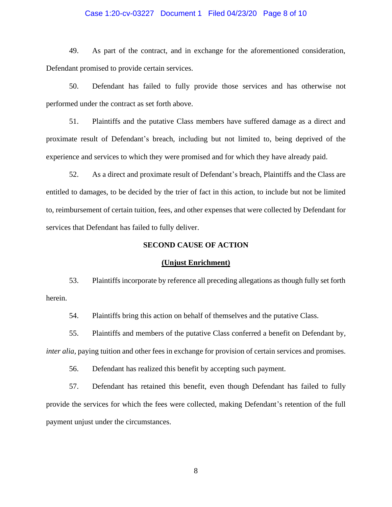#### Case 1:20-cv-03227 Document 1 Filed 04/23/20 Page 8 of 10

49. As part of the contract, and in exchange for the aforementioned consideration, Defendant promised to provide certain services.

50. Defendant has failed to fully provide those services and has otherwise not performed under the contract as set forth above.

51. Plaintiffs and the putative Class members have suffered damage as a direct and proximate result of Defendant's breach, including but not limited to, being deprived of the experience and services to which they were promised and for which they have already paid.

52. As a direct and proximate result of Defendant's breach, Plaintiffs and the Class are entitled to damages, to be decided by the trier of fact in this action, to include but not be limited to, reimbursement of certain tuition, fees, and other expenses that were collected by Defendant for services that Defendant has failed to fully deliver.

### **SECOND CAUSE OF ACTION**

#### **(Unjust Enrichment)**

53. Plaintiffs incorporate by reference all preceding allegations as though fully set forth herein.

54. Plaintiffs bring this action on behalf of themselves and the putative Class.

55. Plaintiffs and members of the putative Class conferred a benefit on Defendant by, *inter alia*, paying tuition and other fees in exchange for provision of certain services and promises.

56. Defendant has realized this benefit by accepting such payment.

57. Defendant has retained this benefit, even though Defendant has failed to fully provide the services for which the fees were collected, making Defendant's retention of the full payment unjust under the circumstances.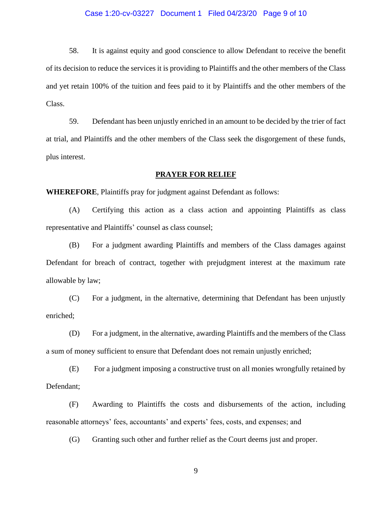#### Case 1:20-cv-03227 Document 1 Filed 04/23/20 Page 9 of 10

58. It is against equity and good conscience to allow Defendant to receive the benefit of its decision to reduce the services it is providing to Plaintiffs and the other members of the Class and yet retain 100% of the tuition and fees paid to it by Plaintiffs and the other members of the Class.

59. Defendant has been unjustly enriched in an amount to be decided by the trier of fact at trial, and Plaintiffs and the other members of the Class seek the disgorgement of these funds, plus interest.

#### **PRAYER FOR RELIEF**

**WHEREFORE**, Plaintiffs pray for judgment against Defendant as follows:

(A) Certifying this action as a class action and appointing Plaintiffs as class representative and Plaintiffs' counsel as class counsel;

(B) For a judgment awarding Plaintiffs and members of the Class damages against Defendant for breach of contract, together with prejudgment interest at the maximum rate allowable by law;

(C) For a judgment, in the alternative, determining that Defendant has been unjustly enriched;

(D) For a judgment, in the alternative, awarding Plaintiffs and the members of the Class a sum of money sufficient to ensure that Defendant does not remain unjustly enriched;

(E) For a judgment imposing a constructive trust on all monies wrongfully retained by Defendant;

(F) Awarding to Plaintiffs the costs and disbursements of the action, including reasonable attorneys' fees, accountants' and experts' fees, costs, and expenses; and

(G) Granting such other and further relief as the Court deems just and proper.